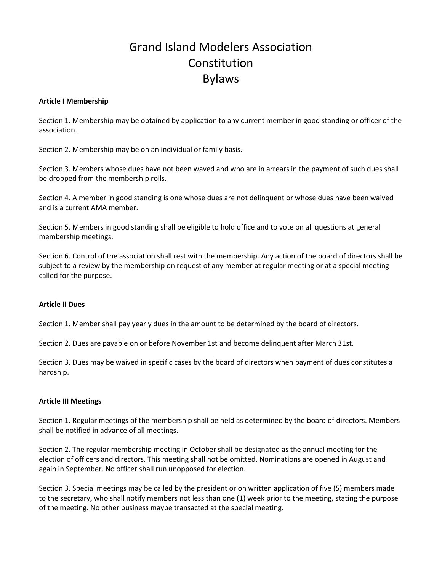# Grand Island Modelers Association Constitution Bylaws

#### **Article I Membership**

Section 1. Membership may be obtained by application to any current member in good standing or officer of the association.

Section 2. Membership may be on an individual or family basis.

Section 3. Members whose dues have not been waved and who are in arrears in the payment of such dues shall be dropped from the membership rolls.

Section 4. A member in good standing is one whose dues are not delinquent or whose dues have been waived and is a current AMA member.

Section 5. Members in good standing shall be eligible to hold office and to vote on all questions at general membership meetings.

Section 6. Control of the association shall rest with the membership. Any action of the board of directors shall be subject to a review by the membership on request of any member at regular meeting or at a special meeting called for the purpose.

#### **Article II Dues**

Section 1. Member shall pay yearly dues in the amount to be determined by the board of directors.

Section 2. Dues are payable on or before November 1st and become delinquent after March 31st.

Section 3. Dues may be waived in specific cases by the board of directors when payment of dues constitutes a hardship.

#### **Article III Meetings**

Section 1. Regular meetings of the membership shall be held as determined by the board of directors. Members shall be notified in advance of all meetings.

Section 2. The regular membership meeting in October shall be designated as the annual meeting for the election of officers and directors. This meeting shall not be omitted. Nominations are opened in August and again in September. No officer shall run unopposed for election.

Section 3. Special meetings may be called by the president or on written application of five (5) members made to the secretary, who shall notify members not less than one (1) week prior to the meeting, stating the purpose of the meeting. No other business maybe transacted at the special meeting.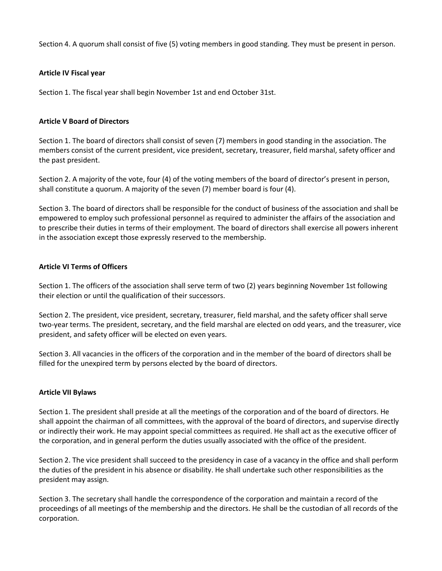Section 4. A quorum shall consist of five (5) voting members in good standing. They must be present in person.

### **Article IV Fiscal year**

Section 1. The fiscal year shall begin November 1st and end October 31st.

## **Article V Board of Directors**

Section 1. The board of directors shall consist of seven (7) members in good standing in the association. The members consist of the current president, vice president, secretary, treasurer, field marshal, safety officer and the past president.

Section 2. A majority of the vote, four (4) of the voting members of the board of director's present in person, shall constitute a quorum. A majority of the seven (7) member board is four (4).

Section 3. The board of directors shall be responsible for the conduct of business of the association and shall be empowered to employ such professional personnel as required to administer the affairs of the association and to prescribe their duties in terms of their employment. The board of directors shall exercise all powers inherent in the association except those expressly reserved to the membership.

#### **Article VI Terms of Officers**

Section 1. The officers of the association shall serve term of two (2) years beginning November 1st following their election or until the qualification of their successors.

Section 2. The president, vice president, secretary, treasurer, field marshal, and the safety officer shall serve two-year terms. The president, secretary, and the field marshal are elected on odd years, and the treasurer, vice president, and safety officer will be elected on even years.

Section 3. All vacancies in the officers of the corporation and in the member of the board of directors shall be filled for the unexpired term by persons elected by the board of directors.

#### **Article VII Bylaws**

Section 1. The president shall preside at all the meetings of the corporation and of the board of directors. He shall appoint the chairman of all committees, with the approval of the board of directors, and supervise directly or indirectly their work. He may appoint special committees as required. He shall act as the executive officer of the corporation, and in general perform the duties usually associated with the office of the president.

Section 2. The vice president shall succeed to the presidency in case of a vacancy in the office and shall perform the duties of the president in his absence or disability. He shall undertake such other responsibilities as the president may assign.

Section 3. The secretary shall handle the correspondence of the corporation and maintain a record of the proceedings of all meetings of the membership and the directors. He shall be the custodian of all records of the corporation.